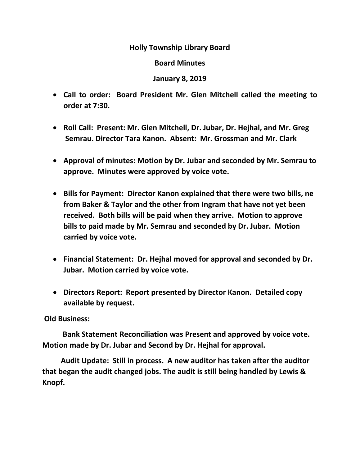## **Holly Township Library Board**

## **Board Minutes**

## **January 8, 2019**

- **Call to order: Board President Mr. Glen Mitchell called the meeting to order at 7:30.**
- **Roll Call: Present: Mr. Glen Mitchell, Dr. Jubar, Dr. Hejhal, and Mr. Greg Semrau. Director Tara Kanon. Absent: Mr. Grossman and Mr. Clark**
- **Approval of minutes: Motion by Dr. Jubar and seconded by Mr. Semrau to approve. Minutes were approved by voice vote.**
- **Bills for Payment: Director Kanon explained that there were two bills, ne from Baker & Taylor and the other from Ingram that have not yet been received. Both bills will be paid when they arrive. Motion to approve bills to paid made by Mr. Semrau and seconded by Dr. Jubar. Motion carried by voice vote.**
- **Financial Statement: Dr. Hejhal moved for approval and seconded by Dr. Jubar. Motion carried by voice vote.**
- **Directors Report: Report presented by Director Kanon. Detailed copy available by request.**

## **Old Business:**

 **Bank Statement Reconciliation was Present and approved by voice vote. Motion made by Dr. Jubar and Second by Dr. Hejhal for approval.** 

 **Audit Update: Still in process. A new auditor has taken after the auditor that began the audit changed jobs. The audit is still being handled by Lewis & Knopf.**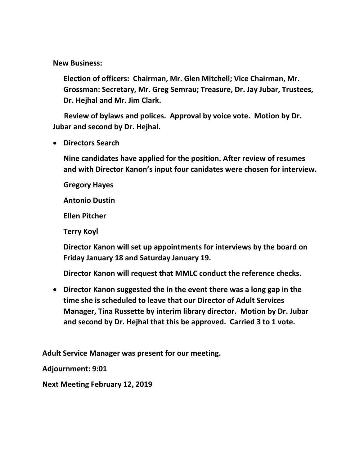**New Business:** 

**Election of officers: Chairman, Mr. Glen Mitchell; Vice Chairman, Mr. Grossman: Secretary, Mr. Greg Semrau; Treasure, Dr. Jay Jubar, Trustees, Dr. Hejhal and Mr. Jim Clark.** 

 **Review of bylaws and polices. Approval by voice vote. Motion by Dr. Jubar and second by Dr. Hejhal.** 

**Directors Search**

**Nine candidates have applied for the position. After review of resumes and with Director Kanon's input four canidates were chosen for interview.**

**Gregory Hayes**

**Antonio Dustin**

**Ellen Pitcher**

**Terry Koyl** 

**Director Kanon will set up appointments for interviews by the board on Friday January 18 and Saturday January 19.**

**Director Kanon will request that MMLC conduct the reference checks.**

 **Director Kanon suggested the in the event there was a long gap in the time she is scheduled to leave that our Director of Adult Services Manager, Tina Russette by interim library director. Motion by Dr. Jubar and second by Dr. Hejhal that this be approved. Carried 3 to 1 vote.** 

**Adult Service Manager was present for our meeting.** 

**Adjournment: 9:01**

**Next Meeting February 12, 2019**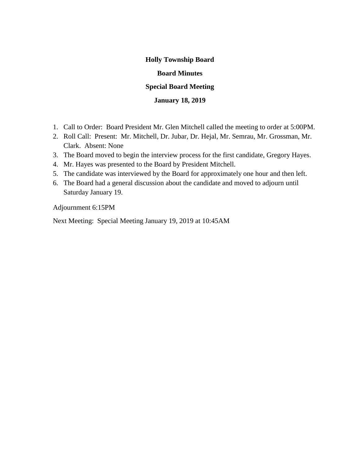# **Holly Township Board Board Minutes Special Board Meeting**

### **January 18, 2019**

- 1. Call to Order: Board President Mr. Glen Mitchell called the meeting to order at 5:00PM.
- 2. Roll Call: Present: Mr. Mitchell, Dr. Jubar, Dr. Hejal, Mr. Semrau, Mr. Grossman, Mr. Clark. Absent: None
- 3. The Board moved to begin the interview process for the first candidate, Gregory Hayes.
- 4. Mr. Hayes was presented to the Board by President Mitchell.
- 5. The candidate was interviewed by the Board for approximately one hour and then left.
- 6. The Board had a general discussion about the candidate and moved to adjourn until Saturday January 19.

Adjournment 6:15PM

Next Meeting: Special Meeting January 19, 2019 at 10:45AM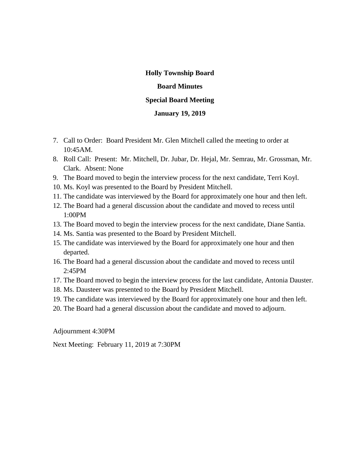## **Holly Township Board Board Minutes Special Board Meeting**

#### **January 19, 2019**

- 7. Call to Order: Board President Mr. Glen Mitchell called the meeting to order at 10:45AM.
- 8. Roll Call: Present: Mr. Mitchell, Dr. Jubar, Dr. Hejal, Mr. Semrau, Mr. Grossman, Mr. Clark. Absent: None
- 9. The Board moved to begin the interview process for the next candidate, Terri Koyl.
- 10. Ms. Koyl was presented to the Board by President Mitchell.
- 11. The candidate was interviewed by the Board for approximately one hour and then left.
- 12. The Board had a general discussion about the candidate and moved to recess until 1:00PM
- 13. The Board moved to begin the interview process for the next candidate, Diane Santia.
- 14. Ms. Santia was presented to the Board by President Mitchell.
- 15. The candidate was interviewed by the Board for approximately one hour and then departed.
- 16. The Board had a general discussion about the candidate and moved to recess until 2:45PM
- 17. The Board moved to begin the interview process for the last candidate, Antonia Dauster.
- 18. Ms. Dausteer was presented to the Board by President Mitchell.
- 19. The candidate was interviewed by the Board for approximately one hour and then left.
- 20. The Board had a general discussion about the candidate and moved to adjourn.

Adjournment 4:30PM

Next Meeting: February 11, 2019 at 7:30PM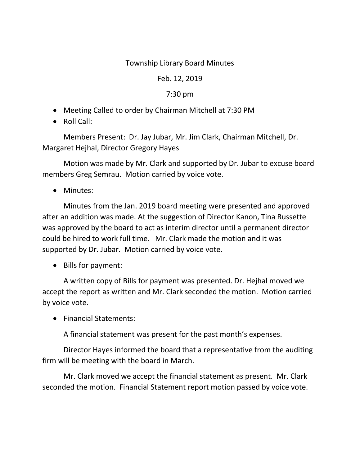## Township Library Board Minutes

## Feb. 12, 2019

## 7:30 pm

- Meeting Called to order by Chairman Mitchell at 7:30 PM
- Roll Call:

Members Present: Dr. Jay Jubar, Mr. Jim Clark, Chairman Mitchell, Dr. Margaret Hejhal, Director Gregory Hayes

 Motion was made by Mr. Clark and supported by Dr. Jubar to excuse board members Greg Semrau. Motion carried by voice vote.

• Minutes:

Minutes from the Jan. 2019 board meeting were presented and approved after an addition was made. At the suggestion of Director Kanon, Tina Russette was approved by the board to act as interim director until a permanent director could be hired to work full time. Mr. Clark made the motion and it was supported by Dr. Jubar. Motion carried by voice vote.

• Bills for payment:

A written copy of Bills for payment was presented. Dr. Hejhal moved we accept the report as written and Mr. Clark seconded the motion. Motion carried by voice vote.

• Financial Statements:

A financial statement was present for the past month's expenses.

Director Hayes informed the board that a representative from the auditing firm will be meeting with the board in March.

Mr. Clark moved we accept the financial statement as present. Mr. Clark seconded the motion. Financial Statement report motion passed by voice vote.